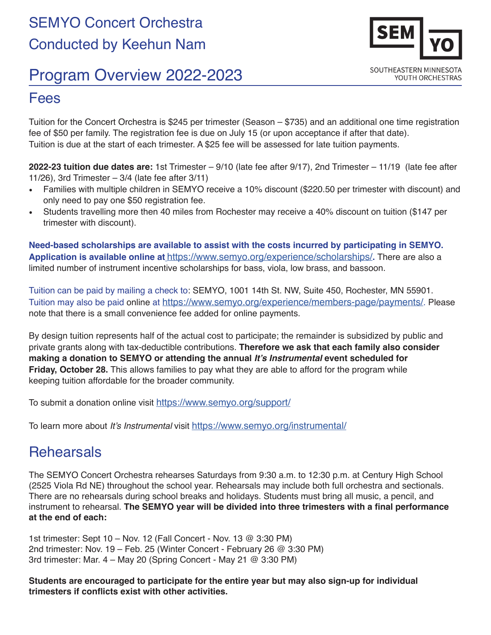

## Program Overview 2022-2023

## Fees

Tuition for the Concert Orchestra is \$245 per trimester (Season – \$735) and an additional one time registration fee of \$50 per family. The registration fee is due on July 15 (or upon acceptance if after that date). Tuition is due at the start of each trimester. A \$25 fee will be assessed for late tuition payments.

**2022-23 tuition due dates are:** 1st Trimester – 9/10 (late fee after 9/17), 2nd Trimester – 11/19 (late fee after 11/26), 3rd Trimester – 3/4 (late fee after 3/11)

- Families with multiple children in SEMYO receive a 10% discount (\$220.50 per trimester with discount) and only need to pay one \$50 registration fee.
- Students travelling more then 40 miles from Rochester may receive a 40% discount on tuition (\$147 per trimester with discount).

**Need-based scholarships are available to assist with the costs incurred by participating in SEMYO. Application is available online at** [https://www.semyo.org/experience/scholarships/]( https://www.semyo.org/experience/scholarships/)**.** There are also a limited number of instrument incentive scholarships for bass, viola, low brass, and bassoon.

Tuition can be paid by mailing a check to: SEMYO, 1001 14th St. NW, Suite 450, Rochester, MN 55901. Tuition may also be paid [online](http://semyo.org/tuition/) at <https://www.semyo.org/experience/members-page/payments/>. Please note that there is a small convenience fee added for online payments.

By design tuition represents half of the actual cost to participate; the remainder is subsidized by public and private grants along with tax-deductible contributions. **Therefore we ask that each family also consider making a donation to SEMYO or attending the annual It's Instrumental event scheduled for Friday, October 28.** This allows families to pay what they are able to afford for the program while keeping tuition affordable for the broader community.

To submit a donation online visit <https://www.semyo.org/support/>

To learn more about It's Instrumental visit<https://www.semyo.org/instrumental/>

## **Rehearsals**

The SEMYO Concert Orchestra rehearses Saturdays from 9:30 a.m. to 12:30 p.m. at Century High School (2525 Viola Rd NE) throughout the school year. Rehearsals may include both full orchestra and sectionals. There are no rehearsals during school breaks and holidays. Students must bring all music, a pencil, and instrument to rehearsal. **The SEMYO year will be divided into three trimesters with a final performance at the end of each:** 

1st trimester: Sept 10 – Nov. 12 (Fall Concert - Nov. 13 @ 3:30 PM) 2nd trimester: Nov. 19 – Feb. 25 (Winter Concert - February 26 @ 3:30 PM) 3rd trimester: Mar. 4 – May 20 (Spring Concert - May 21 @ 3:30 PM)

**Students are encouraged to participate for the entire year but may also sign-up for individual trimesters if conflicts exist with other activities.**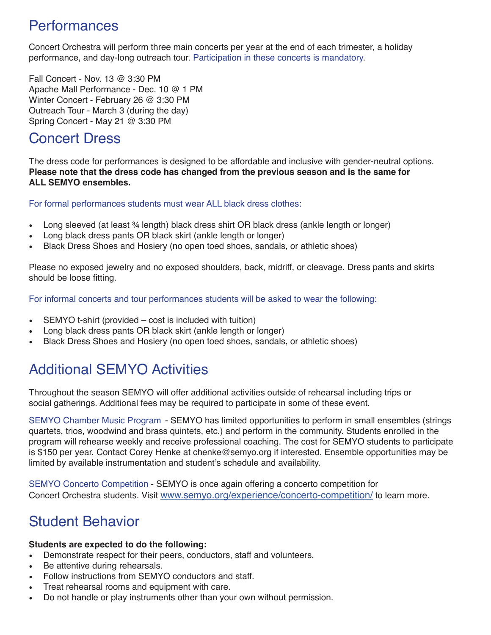## Performances

Concert Orchestra will perform three main concerts per year at the end of each trimester, a holiday performance, and day-long outreach tour. Participation in these concerts is mandatory.

Fall Concert - Nov. 13 @ 3:30 PM Apache Mall Performance - Dec. 10 @ 1 PM Winter Concert - February 26 @ 3:30 PM Outreach Tour - March 3 (during the day) Spring Concert - May 21 @ 3:30 PM

## Concert Dress

The dress code for performances is designed to be affordable and inclusive with gender-neutral options. **Please note that the dress code has changed from the previous season and is the same for ALL SEMYO ensembles.** 

For formal performances students must wear ALL black dress clothes:

- Long sleeved (at least 34 length) black dress shirt OR black dress (ankle length or longer)
- Long black dress pants OR black skirt (ankle length or longer)
- Black Dress Shoes and Hosiery (no open toed shoes, sandals, or athletic shoes)

Please no exposed jewelry and no exposed shoulders, back, midriff, or cleavage. Dress pants and skirts should be loose fitting.

For informal concerts and tour performances students will be asked to wear the following:

- SEMYO t-shirt (provided cost is included with tuition)
- Long black dress pants OR black skirt (ankle length or longer)
- Black Dress Shoes and Hosiery (no open toed shoes, sandals, or athletic shoes)

# Additional SEMYO Activities

Throughout the season SEMYO will offer additional activities outside of rehearsal including trips or social gatherings. Additional fees may be required to participate in some of these event.

SEMYO Chamber Music Program - SEMYO has limited opportunities to perform in small ensembles (strings quartets, trios, woodwind and brass quintets, etc.) and perform in the community. Students enrolled in the program will rehearse weekly and receive professional coaching. The cost for SEMYO students to participate is \$150 per year. Contact Corey Henke at chenke@semyo.org if interested. Ensemble opportunities may be limited by available instrumentation and student's schedule and availability.

SEMYO Concerto Competition - SEMYO is once again offering a concerto competition for Concert Orchestra students. Visit [www.semyo.org/experience/concerto-competition/](http://www.semyo.org/experience/concerto-competition/) to learn more.

## Student Behavior

#### **Students are expected to do the following:**

- Demonstrate respect for their peers, conductors, staff and volunteers.
- Be attentive during rehearsals.
- Follow instructions from SEMYO conductors and staff.
- Treat rehearsal rooms and equipment with care.
- Do not handle or play instruments other than your own without permission.